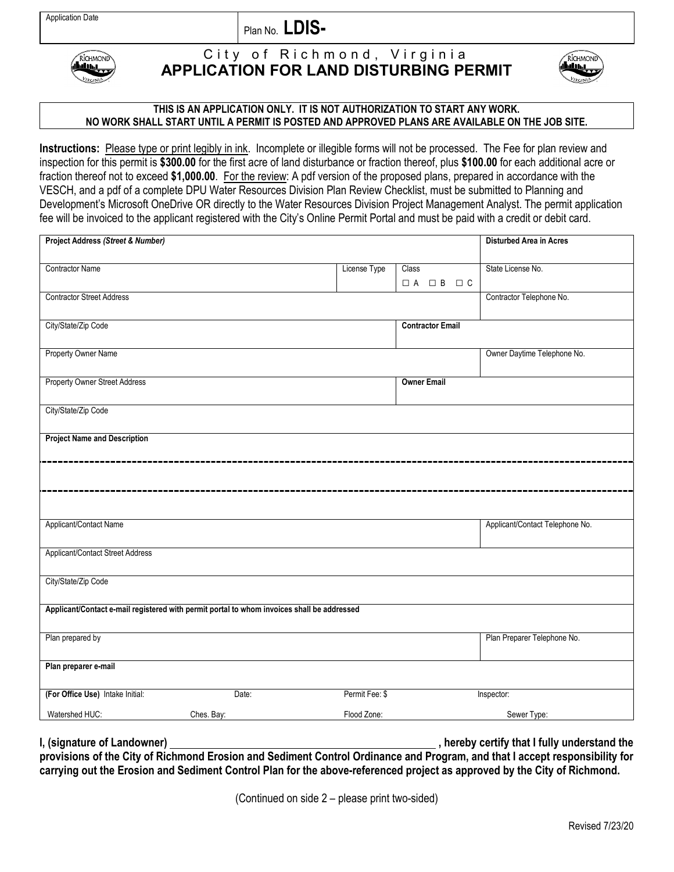Plan No. **LDIS-**



## City of Richmond, Virginia **APPLICATION FOR LAND DISTURBING PERMIT**



## **THIS IS AN APPLICATION ONLY. IT IS NOT AUTHORIZATION TO START ANY WORK. NO WORK SHALL START UNTIL A PERMIT IS POSTED AND APPROVED PLANS ARE AVAILABLE ON THE JOB SITE.**

**Instructions:** Please type or print legibly in ink. Incomplete or illegible forms will not be processed. The Fee for plan review and inspection for this permit is **\$300.00** for the first acre of land disturbance or fraction thereof, plus **\$100.00** for each additional acre or fraction thereof not to exceed **\$1,000.00**. For the review: A pdf version of the proposed plans, prepared in accordance with the VESCH, and a pdf of a complete DPU Water Resources Division Plan Review Checklist, must be submitted to Planning and Development's Microsoft OneDrive OR directly to the Water Resources Division Project Management Analyst. The permit application fee will be invoiced to the applicant registered with the City's Online Permit Portal and must be paid with a credit or debit card.

| Project Address (Street & Number)                                                          |            |                |                                    | <b>Disturbed Area in Acres</b>  |
|--------------------------------------------------------------------------------------------|------------|----------------|------------------------------------|---------------------------------|
|                                                                                            |            |                |                                    |                                 |
| Contractor Name                                                                            |            | License Type   | Class                              | State License No.               |
|                                                                                            |            |                | $\Box A \quad \Box B \quad \Box C$ |                                 |
| <b>Contractor Street Address</b>                                                           |            |                |                                    | Contractor Telephone No.        |
|                                                                                            |            |                |                                    |                                 |
| City/State/Zip Code                                                                        |            |                | <b>Contractor Email</b>            |                                 |
|                                                                                            |            |                |                                    |                                 |
| Property Owner Name                                                                        |            |                |                                    | Owner Daytime Telephone No.     |
|                                                                                            |            |                |                                    |                                 |
|                                                                                            |            |                |                                    |                                 |
| <b>Property Owner Street Address</b>                                                       |            |                | <b>Owner Email</b>                 |                                 |
|                                                                                            |            |                |                                    |                                 |
| City/State/Zip Code                                                                        |            |                |                                    |                                 |
|                                                                                            |            |                |                                    |                                 |
| <b>Project Name and Description</b>                                                        |            |                |                                    |                                 |
|                                                                                            |            |                |                                    |                                 |
|                                                                                            |            |                |                                    |                                 |
|                                                                                            |            |                |                                    |                                 |
|                                                                                            |            |                |                                    |                                 |
|                                                                                            |            |                |                                    |                                 |
| Applicant/Contact Name                                                                     |            |                |                                    | Applicant/Contact Telephone No. |
|                                                                                            |            |                |                                    |                                 |
|                                                                                            |            |                |                                    |                                 |
| Applicant/Contact Street Address                                                           |            |                |                                    |                                 |
|                                                                                            |            |                |                                    |                                 |
| City/State/Zip Code                                                                        |            |                |                                    |                                 |
|                                                                                            |            |                |                                    |                                 |
| Applicant/Contact e-mail registered with permit portal to whom invoices shall be addressed |            |                |                                    |                                 |
|                                                                                            |            |                |                                    |                                 |
| Plan prepared by                                                                           |            |                |                                    | Plan Preparer Telephone No.     |
|                                                                                            |            |                |                                    |                                 |
| Plan preparer e-mail                                                                       |            |                |                                    |                                 |
|                                                                                            |            |                |                                    |                                 |
| (For Office Use) Intake Initial:                                                           | Date:      | Permit Fee: \$ |                                    | Inspector:                      |
|                                                                                            |            |                |                                    |                                 |
| Watershed HUC:                                                                             | Ches. Bay: | Flood Zone:    |                                    | Sewer Type:                     |

**I, (signature of Landowner)** (i.e., i.e. of Landowner) and  $\overline{a}$  and  $\overline{b}$  are  $\overline{b}$  are  $\overline{b}$  are  $\overline{b}$  are  $\overline{b}$  are  $\overline{b}$  are  $\overline{b}$  are  $\overline{b}$  are  $\overline{b}$  are  $\overline{b}$  are  $\overline{b}$  are  $\overline{b$ **provisions of the City of Richmond Erosion and Sediment Control Ordinance and Program, and that I accept responsibility for carrying out the Erosion and Sediment Control Plan for the above-referenced project as approved by the City of Richmond.**

(Continued on side 2 – please print two-sided)